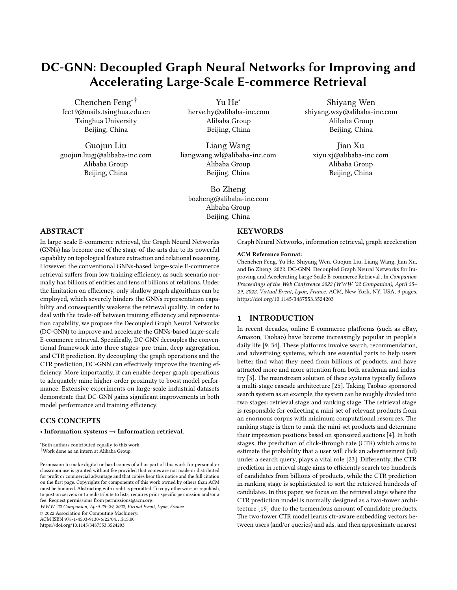# DC-GNN: Decoupled Graph Neural Networks for Improving and Accelerating Large-Scale E-commerce Retrieval

[Chenchen Feng](https://orcid.org/0000-0001-6917-4023)∗† fcc19@mails.tsinghua.edu.cn Tsinghua University Beijing, China

Guojun Liu guojun.liugj@alibaba-inc.com Alibaba Group Beijing, China

Yu He<sup>∗</sup> herve.hy@alibaba-inc.com Alibaba Group Beijing, China

Liang Wang liangwang.wl@alibaba-inc.com Alibaba Group Beijing, China

Bo Zheng bozheng@alibaba-inc.com Alibaba Group Beijing, China

# ABSTRACT

In large-scale E-commerce retrieval, the Graph Neural Networks (GNNs) has become one of the stage-of-the-arts due to its powerful capability on topological feature extraction and relational reasoning. However, the conventional GNNs-based large-scale E-commerce retrieval suffers from low training efficiency, as such scenario normally has billions of entities and tens of billions of relations. Under the limitation on efficiency, only shallow graph algorithms can be employed, which severely hinders the GNNs representation capability and consequently weakens the retrieval quality. In order to deal with the trade-off between training efficiency and representation capability, we propose the Decoupled Graph Neural Networks (DC-GNN) to improve and accelerate the GNNs-based large-scale E-commerce retrieval. Specifically, DC-GNN decouples the conventional framework into three stages: pre-train, deep aggregation, and CTR prediction. By decoupling the graph operations and the CTR prediction, DC-GNN can effectively improve the training efficiency. More importantly, it can enable deeper graph operations to adequately mine higher-order proximity to boost model performance. Extensive experiments on large-scale industrial datasets demonstrate that DC-GNN gains significant improvements in both model performance and training efficiency.

# CCS CONCEPTS

## • Information systems  $\rightarrow$  Information retrieval.

<sup>∗</sup>Both authors contributed equally to this work.

†Work done as an intern at Alibaba Group.

WWW '22 Companion, April 25–29, 2022, Virtual Event, Lyon, France

© 2022 Association for Computing Machinery.

ACM ISBN 978-1-4503-9130-6/22/04. . . \$15.00

<https://doi.org/10.1145/3487553.3524203>

**KEYWORDS** 

Graph Neural Networks, information retrieval, graph acceleration

#### ACM Reference Format:

Chenchen Feng, Yu He, Shiyang Wen, Guojun Liu, Liang Wang, Jian Xu, and Bo Zheng. 2022. DC-GNN: Decoupled Graph Neural Networks for Improving and Accelerating Large-Scale E-commerce Retrieval . In Companion Proceedings of the Web Conference 2022 (WWW '22 Companion), April 25– 29, 2022, Virtual Event, Lyon, France. ACM, New York, NY, USA, [9](#page-8-0) pages. <https://doi.org/10.1145/3487553.3524203>

# 1 INTRODUCTION

In recent decades, online E-commerce platforms (such as eBay, Amazon, Taobao) have become increasingly popular in people's daily life [\[9,](#page-8-1) [34\]](#page-8-2). These platforms involve search, recommendation, and advertising systems, which are essential parts to help users better find what they need from billions of products, and have attracted more and more attention from both academia and industry [\[5\]](#page-8-3). The mainstream solution of these systems typically follows a multi-stage cascade architecture [\[25\]](#page-8-4). Taking Taobao sponsored search system as an example, the system can be roughly divided into two stages: retrieval stage and ranking stage. The retrieval stage is responsible for collecting a mini set of relevant products from an enormous corpus with minimum computational resources. The ranking stage is then to rank the mini-set products and determine their impression positions based on sponsored auctions [\[4\]](#page-8-5). In both stages, the prediction of click-through rate (CTR) which aims to estimate the probability that a user will click an advertisement (ad) under a search query, plays a vital role [\[23\]](#page-8-6). Differently, the CTR prediction in retrieval stage aims to efficiently search top hundreds of candidates from billions of products, while the CTR prediction in ranking stage is sophisticated to sort the retrieved hundreds of candidates. In this paper, we focus on the retrieval stage where the CTR prediction model is normally designed as a two-tower architecture [\[19\]](#page-8-7) due to the tremendous amount of candidate products. The two-tower CTR model learns ctr-aware embedding vectors between users (and/or queries) and ads, and then approximate nearest

Shiyang Wen shiyang.wsy@alibaba-inc.com Alibaba Group Beijing, China

Jian Xu xiyu.xj@alibaba-inc.com Alibaba Group Beijing, China

Permission to make digital or hard copies of all or part of this work for personal or classroom use is granted without fee provided that copies are not made or distributed for profit or commercial advantage and that copies bear this notice and the full citation on the first page. Copyrights for components of this work owned by others than ACM must be honored. Abstracting with credit is permitted. To copy otherwise, or republish, to post on servers or to redistribute to lists, requires prior specific permission and/or a fee. Request permissions from permissions@acm.org.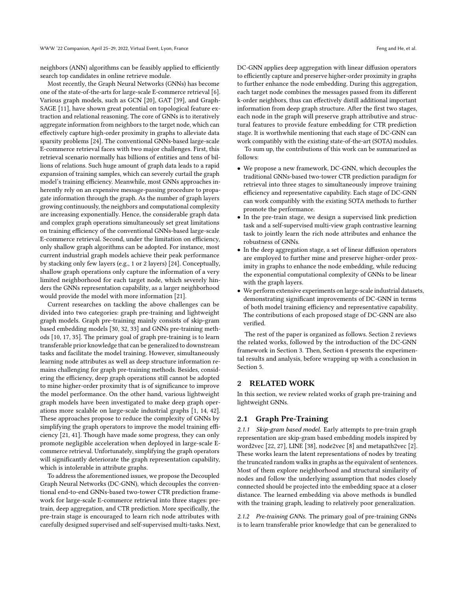neighbors (ANN) algorithms can be feasibly applied to efficiently search top candidates in online retrieve module.

Most recently, the Graph Neural Networks (GNNs) has become one of the state-of-the-arts for large-scale E-commerce retrieval [\[6\]](#page-8-8). Various graph models, such as GCN [\[20\]](#page-8-9), GAT [\[39\]](#page-8-10), and Graph-SAGE [\[11\]](#page-8-11), have shown great potential on topological feature extraction and relational reasoning. The core of GNNs is to iteratively aggregate information from neighbors to the target node, which can effectively capture high-order proximity in graphs to alleviate data sparsity problems [\[24\]](#page-8-12). The conventional GNNs-based large-scale E-commerce retrieval faces with two major challenges. First, this retrieval scenario normally has billions of entities and tens of billions of relations. Such huge amount of graph data leads to a rapid expansion of training samples, which can severely curtail the graph model's training efficiency. Meanwhile, most GNNs approaches inherently rely on an expensive message-passing procedure to propagate information through the graph. As the number of graph layers growing continuously, the neighbors and computational complexity are increasing exponentially. Hence, the considerable graph data and complex graph operations simultaneously set great limitations on training efficiency of the conventional GNNs-based large-scale E-commerce retrieval. Second, under the limitation on efficiency, only shallow graph algorithms can be adopted. For instance, most current industrial graph models achieve their peak performance by stacking only few layers (e.g., 1 or 2 layers) [\[24\]](#page-8-12). Conceptually, shallow graph operations only capture the information of a very limited neighborhood for each target node, which severely hinders the GNNs representation capability, as a larger neighborhood would provide the model with more information [\[21\]](#page-8-13).

Current researches on tackling the above challenges can be divided into two categories: graph pre-training and lightweight graph models. Graph pre-training mainly consists of skip-gram based embedding models [\[30,](#page-8-14) [32,](#page-8-15) [33\]](#page-8-16) and GNNs pre-training methods [\[10,](#page-8-17) [17,](#page-8-18) [35\]](#page-8-19). The primary goal of graph pre-training is to learn transferable prior knowledge that can be generalized to downstream tasks and facilitate the model training. However, simultaneously learning node attributes as well as deep structure information remains challenging for graph pre-training methods. Besides, considering the efficiency, deep graph operations still cannot be adopted to mine higher-order proximity that is of significance to improve the model performance. On the other hand, various lightweight graph models have been investigated to make deep graph operations more scalable on large-scale industrial graphs [\[1,](#page-8-20) [14,](#page-8-21) [42\]](#page-8-22). These approaches propose to reduce the complexity of GNNs by simplifying the graph operators to improve the model training efficiency [\[21,](#page-8-13) [41\]](#page-8-23). Though have made some progress, they can only promote negligible acceleration when deployed in large-scale Ecommerce retrieval. Unfortunately, simplifying the graph operators will significantly deteriorate the graph representation capability, which is intolerable in attribute graphs.

To address the aforementioned issues, we propose the Decoupled Graph Neural Networks (DC-GNN), which decouples the conventional end-to-end GNNs-based two-tower CTR prediction framework for large-scale E-commerce retrieval into three stages: pretrain, deep aggregation, and CTR prediction. More specifically, the pre-train stage is encouraged to learn rich node attributes with carefully designed supervised and self-supervised multi-tasks. Next, DC-GNN applies deep aggregation with linear diffusion operators to efficiently capture and preserve higher-order proximity in graphs to further enhance the node embedding. During this aggregation, each target node combines the messages passed from its different k-order neighbors, thus can effectively distill additional important information from deep graph structure. After the first two stages, each node in the graph will preserve graph attributive and structural features to provide feature embedding for CTR prediction stage. It is worthwhile mentioning that each stage of DC-GNN can work compatibly with the existing state-of-the-art (SOTA) modules.

To sum up, the contributions of this work can be summarized as follows:

- We propose a new framework, DC-GNN, which decouples the traditional GNNs-based two-tower CTR prediction paradigm for retrieval into three stages to simultaneously improve training efficiency and representative capability. Each stage of DC-GNN can work compatibly with the existing SOTA methods to further promote the performance.
- In the pre-train stage, we design a supervised link prediction task and a self-supervised multi-view graph contrastive learning task to jointly learn the rich node attributes and enhance the robustness of GNNs.
- In the deep aggregation stage, a set of linear diffusion operators are employed to further mine and preserve higher-order proximity in graphs to enhance the node embedding, while reducing the exponential computational complexity of GNNs to be linear with the graph layers.
- We perform extensive experiments on large-scale industrial datasets, demonstrating significant improvements of DC-GNN in terms of both model training efficiency and representative capability. The contributions of each proposed stage of DC-GNN are also verified.

The rest of the paper is organized as follows. Section [2](#page-1-0) reviews the related works, followed by the introduction of the DC-GNN framework in Section [3.](#page-2-0) Then, Section [4](#page-4-0) presents the experimental results and analysis, before wrapping up with a conclusion in Section [5.](#page-7-0)

## <span id="page-1-0"></span>2 RELATED WORK

In this section, we review related works of graph pre-training and lightweight GNNs.

# 2.1 Graph Pre-Training

2.1.1 Skip-gram based model. Early attempts to pre-train graph representation are skip-gram based embedding models inspired by word2vec [\[22,](#page-8-24) [27\]](#page-8-25), LINE [\[38\]](#page-8-26), node2vec [\[8\]](#page-8-27) and metapath2vec [\[2\]](#page-8-28). These works learn the latent representations of nodes by treating the truncated random walks in graphs as the equivalent of sentences. Most of them explore neighborhood and structural similarity of nodes and follow the underlying assumption that nodes closely connected should be projected into the embedding space at a closer distance. The learned embedding via above methods is bundled with the training graph, leading to relatively poor generalization.

2.1.2 Pre-training GNNs. The primary goal of pre-training GNNs is to learn transferable prior knowledge that can be generalized to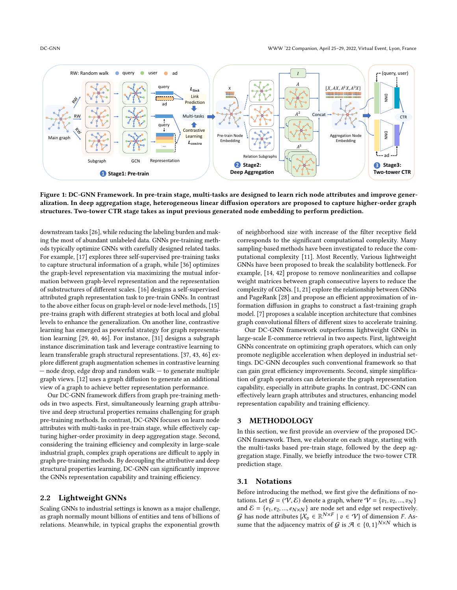<span id="page-2-1"></span>

Figure 1: DC-GNN Framework. In pre-train stage, multi-tasks are designed to learn rich node attributes and improve generalization. In deep aggregation stage, heterogeneous linear diffusion operators are proposed to capture higher-order graph structures. Two-tower CTR stage takes as input previous generated node embedding to perform prediction.

downstream tasks [\[26\]](#page-8-29), while reducing the labeling burden and making the most of abundant unlabeled data. GNNs pre-training methods typically optimize GNNs with carefully designed related tasks. For example, [\[17\]](#page-8-18) explores three self-supervised pre-training tasks to capture structural information of a graph, while [\[36\]](#page-8-30) optimizes the graph-level representation via maximizing the mutual information between graph-level representation and the representation of substructures of different scales. [\[16\]](#page-8-31) designs a self-supervised attributed graph representation task to pre-train GNNs. In contrast to the above either focus on graph-level or node-level methods, [\[15\]](#page-8-32) pre-trains graph with different strategies at both local and global levels to enhance the generalization. On another line, contrastive learning has emerged as powerful strategy for graph representation learning [\[29,](#page-8-33) [40,](#page-8-34) [46\]](#page-8-35). For instance, [\[31\]](#page-8-36) designs a subgraph instance discrimination task and leverage contrastive learning to learn transferable graph structural representations. [\[37,](#page-8-37) [43,](#page-8-38) [46\]](#page-8-35) explore different graph augmentation schemes in contrastive learning — node drop, edge drop and random walk — to generate multiple graph views. [\[12\]](#page-8-39) uses a graph diffusion to generate an additional view of a graph to achieve better representation performance.

Our DC-GNN framework differs from graph pre-training methods in two aspects. First, simultaneously learning graph attributive and deep structural properties remains challenging for graph pre-training methods. In contrast, DC-GNN focuses on learn node attributes with multi-tasks in pre-train stage, while effectively capturing higher-order proximity in deep aggregation stage. Second, considering the training efficiency and complexity in large-scale industrial graph, complex graph operations are difficult to apply in graph pre-training methods. By decoupling the attributive and deep structural properties learning, DC-GNN can significantly improve the GNNs representation capability and training efficiency.

# 2.2 Lightweight GNNs

Scaling GNNs to industrial settings is known as a major challenge, as graph normally mount billions of entities and tens of billions of relations. Meanwhile, in typical graphs the exponential growth

of neighborhood size with increase of the filter receptive field corresponds to the significant computational complexity. Many sampling-based methods have been investigated to reduce the computational complexity [\[11\]](#page-8-11). Most Recently, Various lightweight GNNs have been proposed to break the scalability bottleneck. For example, [\[14,](#page-8-21) [42\]](#page-8-22) propose to remove nonlinearities and collapse weight matrices between graph consecutive layers to reduce the complexity of GNNs. [\[1,](#page-8-20) [21\]](#page-8-13) explore the relationship between GNNs and PageRank [\[28\]](#page-8-40) and propose an efficient approximation of information diffusion in graphs to construct a fast-training graph model. [\[7\]](#page-8-41) proposes a scalable inception architecture that combines graph convolutional filters of different sizes to accelerate training.

Our DC-GNN framework outperforms lightweight GNNs in large-scale E-commerce retrieval in two aspects. First, lightweight GNNs concentrate on optimizing graph operators, which can only promote negligible acceleration when deployed in industrial settings. DC-GNN decouples such conventional framework so that can gain great efficiency improvements. Second, simple simplification of graph operators can deteriorate the graph representation capability, especially in attribute graphs. In contrast, DC-GNN can effectively learn graph attributes and structures, enhancing model representation capability and training efficiency.

# <span id="page-2-0"></span>3 METHODOLOGY

In this section, we first provide an overview of the proposed DC-GNN framework. Then, we elaborate on each stage, starting with the multi-tasks based pre-train stage, followed by the deep aggregation stage. Finally, we briefly introduce the two-tower CTR prediction stage.

## 3.1 Notations

Before introducing the method, we first give the definitions of notations. Let  $G = (V, \mathcal{E})$  denote a graph, where  $V = \{v_1, v_2, ..., v_N\}$ and  $\mathcal{E} = \{e_1, e_2, ..., e_{N \times N}\}\$ are node set and edge set respectively. G has node attributes  $\{X_v \in \mathbb{R}^{N \times F} \mid v \in V\}$  of dimension F. Assume that the adjacency matrix of  $\mathcal{G}$  is  $\mathcal{A} \in \{0,1\}^{N \times N}$  which is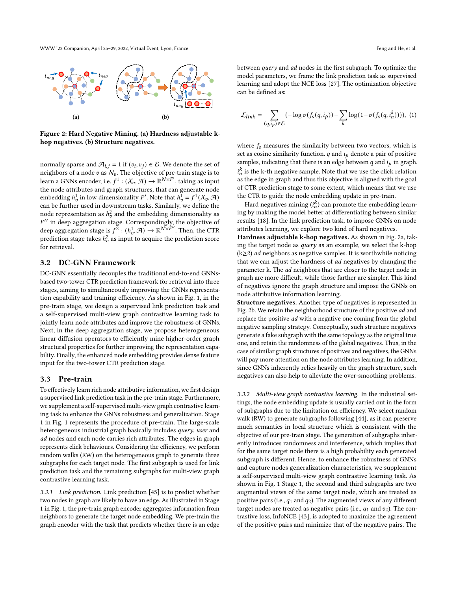WWW '22 Companion, April 25–29, 2022, Virtual Event, Lyon, France Feng and He, et al.

<span id="page-3-0"></span>

Figure 2: Hard Negative Mining. (a) Hardness adjustable khop negatives. (b) Structure negatives.

normally sparse and  $\mathcal{A}_{i,j} = 1$  if  $(v_i, v_j) \in \mathcal{E}$ . We denote the set of neighbors of a node v as  $N_v$ . The objective of pre-train stage is to learn a GNNs encoder, i.e.  $f^1: (\mathcal{X}_v, \mathcal{A}) \to \mathbb{R}^{\mathcal{N} \times \mathcal{F}'}$ , taking as input the node attributes and graph structures, that can generate node embedding  $h_v^1$  in low dimensionality F'. Note that  $h_v^1 = f^1(\mathcal{X}_v, \mathcal{A})$ can be further used in downstream tasks. Similarly, we define the node representation as  $h_{v}^{2}$  and the embedding dimensionality as  $F'$  in deep aggregation stage. Correspondingly, the objective of deep aggregation stage is  $f^2 : (h_v^1, \mathcal{A}) \to \mathbb{R}^{N \times F''}$ . Then, the CTR prediction stage takes  $h^2_v$  as input to acquire the prediction score for retrieval.

# 3.2 DC-GNN Framework

DC-GNN essentially decouples the traditional end-to-end GNNsbased two-tower CTR prediction framework for retrieval into three stages, aiming to simultaneously improving the GNNs representation capability and training efficiency. As shown in Fig. [1,](#page-2-1) in the pre-train stage, we design a supervised link prediction task and a self-supervised multi-view graph contrastive learning task to jointly learn node attributes and improve the robustness of GNNs. Next, in the deep aggregation stage, we propose heterogeneous linear diffusion operators to efficiently mine higher-order graph structural properties for further improving the representation capability. Finally, the enhanced node embedding provides dense feature input for the two-tower CTR prediction stage.

#### 3.3 Pre-train

To effectively learn rich node attributive information, we first design a supervised link prediction task in the pre-train stage. Furthermore, we supplement a self-supervised multi-view graph contrastive learning task to enhance the GNNs robustness and generalization. Stage 1 in Fig. [1](#page-2-1) represents the procedure of pre-train. The large-scale heterogeneous industrial graph basically includes query, user and ad nodes and each node carries rich attributes. The edges in graph represents click behaviours. Considering the efficiency, we perform random walks (RW) on the heterogeneous graph to generate three subgraphs for each target node. The first subgraph is used for link prediction task and the remaining subgraphs for multi-view graph contrastive learning task.

3.3.1 Link prediction. Link prediction [\[45\]](#page-8-42) is to predict whether two nodes in graph are likely to have an edge. As illustrated in Stage 1 in Fig. [1,](#page-2-1) the pre-train graph encoder aggregates information from neighbors to generate the target node embedding. We pre-train the graph encoder with the task that predicts whether there is an edge between query and ad nodes in the first subgraph. To optimize the model parameters, we frame the link prediction task as supervised learning and adopt the NCE loss [\[27\]](#page-8-25). The optimization objective can be defined as:

$$
\mathcal{L}_{link} = \sum_{(q,i_p)\in\mathcal{E}} (-\log \sigma(f_s(q,i_p)) - \sum_{k} \log(1 - \sigma(f_s(q,i_n^k))))
$$
, (1)

where  $f_s$  measures the similarity between two vectors, which is set as cosine similarity function.  $q$  and  $i_p$  denote a pair of positive samples, indicating that there is an edge between  $q$  and  $i_p$  in graph.  $i_n^k$  is the k-th negative sample. Note that we use the click relation as the edge in graph and thus this objective is aligned with the goal of CTR prediction stage to some extent, which means that we use the CTR to guide the node embedding update in pre-train.

Hard negatives mining  $(i_n^k)$  can promote the embedding learning by making the model better at differentiating between similar results [\[18\]](#page-8-43). In the link prediction task, to impose GNNs on node attributes learning, we explore two kind of hard negatives.

Hardness adjustable k-hop negatives. As shown in Fig. [2a,](#page-3-0) taking the target node as query as an example, we select the k-hop  $(k \geq 2)$  *ad* neighbors as negative samples. It is worthwhile noticing that we can adjust the hardness of ad negatives by changing the parameter k. The ad neighbors that are closer to the target node in graph are more difficult, while those farther are simpler. This kind of negatives ignore the graph structure and impose the GNNs on node attributive information learning.

Structure negatives. Another type of negatives is represented in Fig. [2b.](#page-3-0) We retain the neighborhood structure of the positive ad and replace the positive ad with a negative one coming from the global negative sampling strategy. Conceptually, such structure negatives generate a fake subgraph with the same topology as the original true one, and retain the randomness of the global negatives. Thus, in the case of similar graph structures of positives and negatives, the GNNs will pay more attention on the node attributes learning. In addition, since GNNs inherently relies heavily on the graph structure, such negatives can also help to alleviate the over-smoothing problems.

3.3.2 Multi-view graph contrastive learning. In the industrial settings, the node embedding update is usually carried out in the form of subgraphs due to the limitation on efficiency. We select random walk (RW) to generate subgraphs following [\[44\]](#page-8-44), as it can preserve much semantics in local structure which is consistent with the objective of our pre-train stage. The generation of subgraphs inherently introduces randomness and interference, which implies that for the same target node there is a high probability each generated subgraph is different. Hence, to enhance the robustness of GNNs and capture nodes generalization characteristics, we supplement a self-supervised multi-view graph contrastive learning task. As shown in Fig. [1](#page-2-1) Stage 1, the second and third subgraphs are two augmented views of the same target node, which are treated as positive pairs (i.e.,  $q_1$  and  $q_2$ ). The augmented views of any different target nodes are treated as negative pairs (i.e.,  $q_1$  and  $v_2$ ). The contrastive loss, InfoNCE [\[43\]](#page-8-38), is adopted to maximize the agreement of the positive pairs and minimize that of the negative pairs. The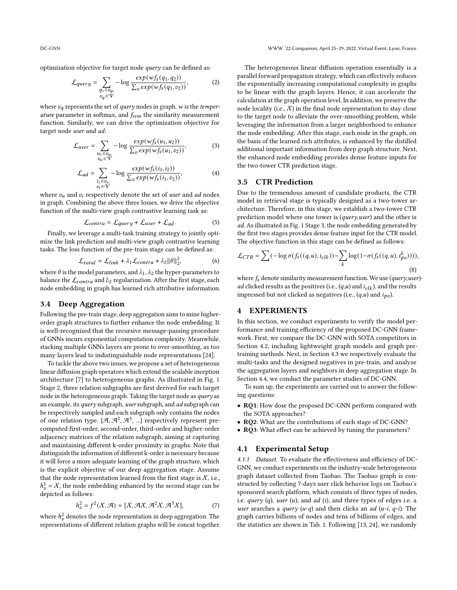optimization objective for target node query can be defined as:

$$
\mathcal{L}_{query} = \sum_{\substack{q_1 \in v_q, \\ v_q \in V}} -\log \frac{exp(wf_s(q_1, q_2))}{\sum_{v} exp(wf_s(q_1, v_2))},
$$
(2)

where  $v_q$  represents the set of query nodes in graph. w is the temperature parameter in softmax, and  $f_{sim}$  the similarity measurement function. Similarly, we can drive the optimization objective for target node user and ad:

$$
\mathcal{L}_{user} = \sum_{\substack{u_1 \in v_u, \\ v_u \in V}} -\log \frac{exp(wf_s(u_1, u_2))}{\sum_v exp(wf_s(u_1, v_2))},
$$
(3)

$$
\mathcal{L}_{ad} = \sum_{\substack{i_1 \in v_i, \\ v_j \in V}} -\log \frac{exp(wf_s(i_1, i_2))}{\sum_v exp(wf_s(i_1, v_2))},
$$
(4)

where  $v_u$  and  $v_i$  respectively denote the set of user and ad nodes in graph. Combining the above three losses, we drive the objective function of the multi-view graph contrastive learning task as:

$$
\mathcal{L}_{contra} = \mathcal{L}_{query} + \mathcal{L}_{user} + \mathcal{L}_{ad}.
$$
 (5)

Finally, we leverage a multi-task training strategy to jointly optimize the link prediction and multi-view graph contrastive learning tasks. The loss function of the pre-train stage can be defined as:

$$
\mathcal{L}_{total} = \mathcal{L}_{link} + \lambda_1 \mathcal{L}_{contra} + \lambda_2 ||\theta||_2^2, \tag{6}
$$

where  $\theta$  is the model parameters, and  $\lambda_1$ ,  $\lambda_2$  the hyper-parameters to balance the  $\mathcal{L}_{contra}$  and  $L_2$  regularization. After the first stage, each node embedding in graph has learned rich attributive information.

# 3.4 Deep Aggregation

Following the pre-train stage, deep aggregation aims to mine higherorder graph structures to further enhance the node embedding. It is well-recognized that the recursive message-passing procedure of GNNs incurs exponential computation complexity. Meanwhile, stacking multiple GNNs layers are prone to over-smoothing, as too many layers lead to indistinguishable node representations [\[24\]](#page-8-12).

To tackle the above two issues, we propose a set of heterogeneous linear diffusion graph operators which extend the scalable inception architecture [\[7\]](#page-8-41) to heterogeneous graphs. As illustrated in Fig. [1](#page-2-1) Stage 2, three relation subgraphs are first derived for each target node in the heterogeneous graph. Taking the target node as query as an example, its query subgraph, user subgraph, and ad subgraph can be respectively sampled and each subgraph only contains the nodes of one relation type.  $\{\mathcal{A}, \mathcal{A}^2, \mathcal{A}^3, ...\}$  respectively represent precomputed first-order, second-order, third-order and higher-order adjacency matrices of the relation subgraph, aiming at capturing and maintaining different k-order proximity in graphs. Note that distinguish the information of different k-order is necessary because it will force a more adequate learning of the graph structure, which is the explicit objective of our deep aggregation stage. Assume that the node representation learned from the first stage is  $\chi$ , i.e.,  $h_v^1 = X$ , the node embedding enhanced by the second stage can be depicted as follows:

$$
h_v^2 = f^2(\mathcal{X}, \mathcal{A}) = [\mathcal{X}, \mathcal{A}\mathcal{X}, \mathcal{A}^2\mathcal{X}, \mathcal{A}^3\mathcal{X}],
$$
 (7)

where  $h^2_v$  denotes the node representation in deep aggregation. The representations of different relation graphs will be concat together.

The heterogeneous linear diffusion operation essentially is a parallel forward propagation strategy, which can effectively reduces the exponentially increasing computational complexity in graphs to be linear with the graph layers. Hence, it can accelerate the calculation at the graph operation level. In addition, we preserve the node locality (i.e.,  $X$ ) in the final node representation to stay close to the target node to alleviate the over-smoothing problem, while leveraging the information from a larger neighborhood to enhance the node embedding. After this stage, each node in the graph, on the basis of the learned rich attributes, is enhanced by the distilled additional important information from deep graph structure. Next, the enhanced node embedding provides dense feature inputs for the two-tower CTR prediction stage.

# 3.5 CTR Prediction

Due to the tremendous amount of candidate products, the CTR model in retrieval stage is typically designed as a two-tower architecture. Therefore, in this stage, we establish a two-tower CTR prediction model where one tower is (query,user) and the other is ad. As illustrated in Fig. [1](#page-2-1) Stage 3, the node embedding generated by the first two stages provides dense feature input for the CTR model. The objective function in this stage can be defined as follows:

$$
\mathcal{L}_{CTR} = \sum (-\log \sigma(f_s((q, u), i_{clk})) - \sum_{k} \log(1 - \sigma(f_s((q, u), i_{pv}^k))))
$$
\n(8)

where  $f_s$  denote similarity measurement function. We use (query,user)ad clicked results as the positives (i.e.,  $(q, u)$  and  $i_{clk}$ ), and the results impressed but not clicked as negatives (i.e.,  $(q, u)$  and  $i_{pv}$ ).

# <span id="page-4-0"></span>4 EXPERIMENTS

In this section, we conduct experiments to verify the model performance and training efficiency of the proposed DC-GNN framework. First, we compare the DC-GNN with SOTA competitors in Section [4.2,](#page-5-0) including lightweight graph models and graph pretraining methods. Next, in Section [4.3](#page-6-0) we respectively evaluate the multi-tasks and the designed negatives in pre-train, and analyze the aggregation layers and neighbors in deep aggregation stage. In Section [4.4,](#page-7-1) we conduct the parameter studies of DC-GNN.

To sum up, the experiments are carried out to answer the following questions:

- RQ1: How dose the proposed DC-GNN perform compared with the SOTA approaches?
- RQ2: What are the contributions of each stage of DC-GNN?
- RQ3: What effect can be achieved by tuning the parameters?

## 4.1 Experimental Setup

4.1.1 Dataset. To evaluate the effectiveness and efficiency of DC-GNN, we conduct experiments on the industry-scale heterogeneous graph dataset collected from Taobao. The Taobao graph is constructed by collecting 7-days user click behavior logs on Taobao's sponsored search platform, which consists of three types of nodes, i.e. query  $(q)$ , user  $(u)$ , and  $ad$   $(i)$ , and three types of edges i.e. a user searches a query  $(u-q)$  and then clicks an ad  $(u-i, q-i)$ . The graph carries billions of nodes and tens of billions of edges, and the statistics are shown in Tab. [1.](#page-5-1) Following [\[13,](#page-8-45) [24\]](#page-8-12), we randomly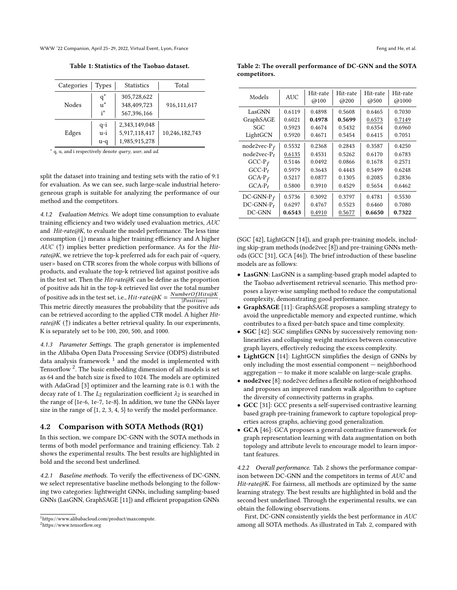<span id="page-5-1"></span>WWW '22 Companion, April 25–29, 2022, Virtual Event, Lyon, France Feng and He, et al.

Table 1: Statistics of the Taobao dataset.

| Categories | <b>Types</b>               | <b>Statistics</b>                               | Total          |  |
|------------|----------------------------|-------------------------------------------------|----------------|--|
| Nodes      | $q^*$<br>$\bar{u}^*$<br>i* | 305,728,622<br>348,409,723<br>567,396,166       | 916,111,617    |  |
| Edges      | $q-i$<br>u-i<br>u-q        | 2,343,149,048<br>5,917,118,417<br>1,985,915,278 | 10,246,182,743 |  |

∗ q, u, and i respectively denote query, user, and ad.

split the dataset into training and testing sets with the ratio of 9:1 for evaluation. As we can see, such large-scale industrial heterogeneous graph is suitable for analyzing the performance of our method and the competitors.

4.1.2 Evaluation Metrics. We adopt time consumption to evaluate training efficiency and two widely used evaluation metrics, AUC and Hit-rate@K, to evaluate the model performance. The less time consumption (↓) means a higher training efficiency and A higher AUC ( $\uparrow$ ) implies better prediction performance. As for the Hitrate@K, we retrieve the top-k preferred ads for each pair of <query, user> based on CTR scores from the whole corpus with billions of products, and evaluate the top-k retrieved list against positive ads in the test set. Then the  $Hit-rate@K$  can be define as the proportion of positive ads hit in the top-k retrieved list over the total number of positive ads in the test set, i.e.,  $Hit-rate@K = \frac{NumberOfHits@K}{|Positives|}$ . This metric directly measures the probability that the positive ads can be retrieved according to the applied CTR model. A higher Hitrate@K ( $\uparrow$ ) indicates a better retrieval quality. In our experiments, K is separately set to be 100, 200, 500, and 1000.

4.1.3 Parameter Settings. The graph generator is implemented in the Alibaba Open Data Processing Service (ODPS) distributed data analysis framework  $^1$  $^1$  and the model is implemented with Tensorflow  $2$ . The basic embedding dimension of all models is set as 64 and the batch size is fixed to 1024. The models are optimized with AdaGrad [\[3\]](#page-8-46) optimizer and the learning rate is 0.1 with the decay rate of 1. The  $L_2$  regularization coefficient  $\lambda_2$  is searched in the range of {1e-6, 1e-7, 1e-8}. In addition, we tune the GNNs layer size in the range of {1, 2, 3, 4, 5} to verify the model performance.

## <span id="page-5-0"></span>4.2 Comparison with SOTA Methods (RQ1)

In this section, we compare DC-GNN with the SOTA methods in terms of both model performance and training efficiency. Tab. [2](#page-5-4) shows the experimental results. The best results are highlighted in bold and the second best underlined.

4.2.1 Baseline methods. To verify the effectiveness of DC-GNN, we select representative baseline methods belonging to the following two categories: lightweight GNNs, including sampling-based GNNs (LasGNN, GraphSAGE [\[11\]](#page-8-11)) and efficient propagation GNNs

<span id="page-5-4"></span>Table 2: The overall performance of DC-GNN and the SOTA competitors.

| Models          | <b>AUC</b> | Hit-rate<br>@100 | Hit-rate<br>@200 | Hit-rate<br>@500 | Hit-rate<br>@1000 |
|-----------------|------------|------------------|------------------|------------------|-------------------|
| LasGNN          | 0.6119     | 0.4898           | 0.5608           | 0.6465           | 0.7030            |
| GraphSAGE       | 0.6021     | 0.4978           | 0.5699           | 0.6573           | 0.7149            |
| SGC             | 0.5923     | 0.4674           | 0.5432           | 0.6354           | 0.6960            |
| LightGCN        | 0.5920     | 0.4671           | 0.5454           | 0.6415           | 0.7051            |
| node2vec- $P_f$ | 0.5532     | 0.2368           | 0.2843           | 0.3587           | 0.4250            |
| $node2vec-P_t$  | 0.6135     | 0.4531           | 0.5262           | 0.6170           | 0.6783            |
| $GCC-P_f$       | 0.5146     | 0.0492           | 0.0866           | 0.1678           | 0.2571            |
| $GCC-P_t$       | 0.5979     | 0.3643           | 0.4443           | 0.5499           | 0.6248            |
| $GCA-Pf$        | 0.5217     | 0.0877           | 0.1305           | 0.2085           | 0.2836            |
| $GCA-P_t$       | 0.5800     | 0.3910           | 0.4529           | 0.5654           | 0.6462            |
| $DC-GNN-P_f$    | 0.5736     | 0.3092           | 0.3797           | 0.4781           | 0.5530            |
| $DC-GNN-P_t$    | 0.6297     | 0.4767           | 0.5523           | 0.6460           | 0.7080            |
| DC-GNN          | 0.6543     | 0.4910           | 0.5677           | 0.6650           | 0.7322            |

(SGC [\[42\]](#page-8-22), LightGCN [\[14\]](#page-8-21)), and graph pre-training models, including skip-gram methods (node2vec [\[8\]](#page-8-27)) and pre-training GNNs methods (GCC [\[31\]](#page-8-36), GCA [\[46\]](#page-8-35)). The brief introduction of these baseline models are as follows:

- LasGNN: LasGNN is a sampling-based graph model adapted to the Taobao advertisement retrieval scenario. This method proposes a layer-wise sampling method to reduce the computational complexity, demonstrating good performance.
- GraphSAGE [\[11\]](#page-8-11): GraphSAGE proposes a sampling strategy to avoid the unpredictable memory and expected runtime, which contributes to a fixed per-batch space and time complexity.
- SGC [\[42\]](#page-8-22): SGC simplifies GNNs by successively removing nonlinearities and collapsing weight matrices between consecutive graph layers, effectively reducing the excess complexity.
- LightGCN [\[14\]](#page-8-21): LightGCN simplifies the design of GNNs by only including the most essential component — neighborhood aggregation — to make it more scalable on large-scale graphs.
- node2vec [\[8\]](#page-8-27): node2vec defines a flexible notion of neighborhood and proposes an improved random walk algorithm to capture the diversity of connectivity patterns in graphs.
- GCC [\[31\]](#page-8-36): GCC presents a self-supervised contrastive learning based graph pre-training framework to capture topological properties across graphs, achieving good generalization.
- GCA [\[46\]](#page-8-35): GCA proposes a general contrastive framework for graph representation learning with data augmentation on both topology and attribute levels to encourage model to learn important features.

4.2.2 Overall performance. Tab. [2](#page-5-4) shows the performance comparison between DC-GNN and the competitors in terms of AUC and  $Hit-rate@K$ . For fairness, all methods are optimized by the same learning strategy. The best results are highlighted in bold and the second best underlined. Through the experimental results, we can obtain the following observations.

First, DC-GNN consistently yields the best performance in AUC among all SOTA methods. As illustrated in Tab. [2,](#page-5-4) compared with

<span id="page-5-2"></span><sup>1</sup>https://www.alibabacloud.com/product/maxcompute.

<span id="page-5-3"></span><sup>2</sup>https://www.tensorflow.org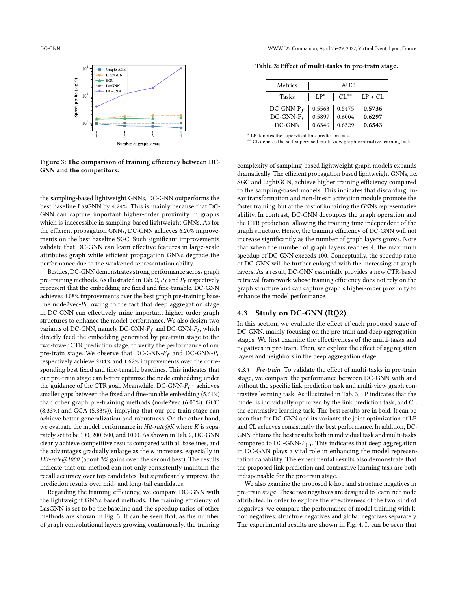<span id="page-6-1"></span>



Figure 3: The comparison of training efficiency between DC-GNN and the competitors.

the sampling-based lightweight GNNs, DC-GNN outperforms the best baseline LasGNN by 4.24%. This is mainly because that DC-GNN can capture important higher-order proximity in graphs which is inaccessible in sampling-based lightweight GNNs. As for the efficient propagation GNNs, DC-GNN achieves 6.20% improvements on the best baseline SGC. Such significant improvements validate that DC-GNN can learn effective features in large-scale attributes graph while efficient propagation GNNs degrade the performance due to the weakened representation ability.

Besides, DC-GNN demonstrates strong performance across graph pre-training methods. As illustrated in Tab. [2,](#page-5-4)  $P_f$  and  $P_t$  respectively represent that the embedding are fixed and fine-tunable. DC-GNN achieves 4.08% improvements over the best graph pre-training baseline node2vec- $P_t$ , owing to the fact that deep aggregation stage in DC-GNN can effectively mine important higher-order graph structures to enhance the model performance. We also design two variants of DC-GNN, namely DC-GNN- $P_f$  and DC-GNN- $P_t$ , which directly feed the embedding generated by pre-train stage to the two-tower CTR prediction stage, to verify the performance of our pre-train stage. We observe that DC-GNN- $P_f$  and DC-GNN- $P_t$ respectively achieve 2.04% and 1.62% improvements over the corresponding best fixed and fine-tunable baselines. This indicates that our pre-train stage can better optimize the node embedding under the guidance of the CTR goal. Meanwhile, DC-GNN- $P_{(.)}$  achieves smaller gaps between the fixed and fine-tunable embedding (5.61%) than other graph pre-training methods (node2vec (6.03%), GCC (8.33%) and GCA (5.83%)), implying that our pre-train stage can achieve better generalization and robustness. On the other hand, we evaluate the model performance in  $Hit-rate@K$  where  $K$  is separately set to be 100, 200, 500, and 1000. As shown in Tab. [2,](#page-5-4) DC-GNN clearly achieve competitive results compared with all baselines, and the advantages gradually enlarge as the  $K$  increases, especially in Hit-rate@1000 (about 3% gains over the second best). The results indicate that our method can not only consistently maintain the recall accuracy over top candidates, but significantly improve the prediction results over mid- and long-tail candidates.

Regarding the training efficiency, we compare DC-GNN with the lightweight GNNs based methods. The training efficiency of LasGNN is set to be the baseline and the speedup ratios of other methods are shown in Fig. [3.](#page-6-1) It can be seen that, as the number of graph convolutional layers growing continuously, the training

<span id="page-6-2"></span>Table 3: Effect of multi-tasks in pre-train stage.

| Metrics       | AUC.   |           |           |  |
|---------------|--------|-----------|-----------|--|
| Tasks         | $LP^*$ | $CL^{**}$ | $LP + CL$ |  |
| DC-GNN- $P_f$ | 0.5563 | 0.5475    | 0.5736    |  |
| $DC-GNN-P_t$  | 0.5897 | 0.6004    | 0.6297    |  |
| DC-GNN        | 0.6346 | 0.6329    | 0.6543    |  |

<sup>∗</sup> LP denotes the supervised link prediction task.

∗∗ CL denotes the self-supervised multi-view graph contrastive learning task.

complexity of sampling-based lightweight graph models expands dramatically. The efficient propagation based lightweight GNNs, i.e. SGC and LightGCN, achieve higher training efficiency compared to the sampling-based models. This indicates that discarding linear transformation and non-linear activation module promote the faster training, but at the cost of impairing the GNNs representative ability. In contrast, DC-GNN decouples the graph operation and the CTR prediction, allowing the training time independent of the graph structure. Hence, the training efficiency of DC-GNN will not increase significantly as the number of graph layers grows. Note that when the number of graph layers reaches 4, the maximum speedup of DC-GNN exceeds 100. Conceptually, the speedup ratio of DC-GNN will be further enlarged with the increasing of graph layers. As a result, DC-GNN essentially provides a new CTR-based retrieval framework whose training efficiency does not rely on the graph structure and can capture graph's higher-order proximity to enhance the model performance.

## <span id="page-6-0"></span>4.3 Study on DC-GNN (RQ2)

In this section, we evaluate the effect of each proposed stage of DC-GNN, mainly focusing on the pre-train and deep aggregation stages. We first examine the effectiveness of the multi-tasks and negatives in pre-train. Then, we explore the effect of aggregation layers and neighbors in the deep aggregation stage.

4.3.1 Pre-train. To validate the effect of multi-tasks in pre-train stage, we compare the performance between DC-GNN with and without the specific link prediction task and multi-view graph contrastive learning task. As illustrated in Tab. [3,](#page-6-2) LP indicates that the model is individually optimized by the link prediction task, and CL the contrastive learning task. The best results are in bold. It can be seen that for DC-GNN and its variants the joint optimization of LP and CL achieves consistently the best performance. In addition, DC-GNN obtains the best results both in individual task and multi-tasks compared to DC-GNN- $P_{(.)}$ . This indicates that deep aggregation in DC-GNN plays a vital role in enhancing the model representation capability. The experimental results also demonstrate that the proposed link prediction and contrastive learning task are both indispensable for the pre-train stage.

We also examine the proposed k-hop and structure negatives in pre-train stage. These two negatives are designed to learn rich node attributes. In order to explore the effectiveness of the two kind of negatives, we compare the performance of model training with khop negatives, structure negatives and global negatives separately. The experimental results are shown in Fig. [4.](#page-7-2) It can be seen that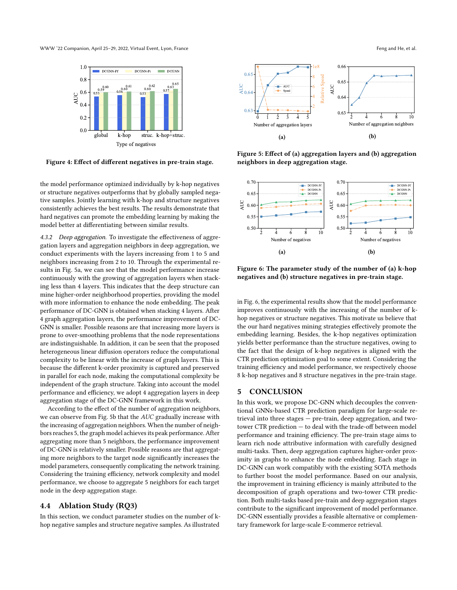<span id="page-7-2"></span>WWW '22 Companion, April 25–29, 2022, Virtual Event, Lyon, France Feng and He, et al.



Figure 4: Effect of different negatives in pre-train stage.

the model performance optimized individually by k-hop negatives or structure negatives outperforms that by globally sampled negative samples. Jointly learning with k-hop and structure negatives consistently achieves the best results. The results demonstrate that hard negatives can promote the embedding learning by making the model better at differentiating between similar results.

4.3.2 Deep aggregation. To investigate the effectiveness of aggregation layers and aggregation neighbors in deep aggregation, we conduct experiments with the layers increasing from 1 to 5 and neighbors increasing from 2 to 10. Through the experimental results in Fig. [5a,](#page-7-3) we can see that the model performance increase continuously with the growing of aggregation layers when stacking less than 4 layers. This indicates that the deep structure can mine higher-order neighborhood properties, providing the model with more information to enhance the node embedding. The peak performance of DC-GNN is obtained when stacking 4 layers. After 4 graph aggregation layers, the performance improvement of DC-GNN is smaller. Possible reasons are that increasing more layers is prone to over-smoothing problems that the node representations are indistinguishable. In addition, it can be seen that the proposed heterogeneous linear diffusion operators reduce the computational complexity to be linear with the increase of graph layers. This is because the different k-order proximity is captured and preserved in parallel for each node, making the computational complexity be independent of the graph structure. Taking into account the model performance and efficiency, we adopt 4 aggregation layers in deep aggregation stage of the DC-GNN framework in this work.

According to the effect of the number of aggregation neighbors, we can observe from Fig. [5b](#page-7-3) that the AUC gradually increase with the increasing of aggregation neighbors. When the number of neighbors reaches 5, the graph model achieves its peak performance. After aggregating more than 5 neighbors, the performance improvement of DC-GNN is relatively smaller. Possible reasons are that aggregating more neighbors to the target node significantly increases the model parameters, consequently complicating the network training. Considering the training efficiency, network complexity and model performance, we choose to aggregate 5 neighbors for each target node in the deep aggregation stage.

# <span id="page-7-1"></span>4.4 Ablation Study (RQ3)

In this section, we conduct parameter studies on the number of khop negative samples and structure negative samples. As illustrated

<span id="page-7-3"></span>

Figure 5: Effect of (a) aggregation layers and (b) aggregation neighbors in deep aggregation stage.

<span id="page-7-4"></span>

Figure 6: The parameter study of the number of (a) k-hop negatives and (b) structure negatives in pre-train stage.

in Fig. [6,](#page-7-4) the experimental results show that the model performance improves continuously with the increasing of the number of khop negatives or structure negatives. This motivate us believe that the our hard negatives mining strategies effectively promote the embedding learning. Besides, the k-hop negatives optimization yields better performance than the structure negatives, owing to the fact that the design of k-hop negatives is aligned with the CTR prediction optimization goal to some extent. Considering the training efficiency and model performance, we respectively choose 8 k-hop negatives and 8 structure negatives in the pre-train stage.

# <span id="page-7-0"></span>5 CONCLUSION

In this work, we propose DC-GNN which decouples the conventional GNNs-based CTR prediction paradigm for large-scale retrieval into three stages — pre-train, deep aggregation, and twotower CTR prediction — to deal with the trade-off between model performance and training efficiency. The pre-train stage aims to learn rich node attributive information with carefully designed multi-tasks. Then, deep aggregation captures higher-order proximity in graphs to enhance the node embedding. Each stage in DC-GNN can work compatibly with the existing SOTA methods to further boost the model performance. Based on our analysis, the improvement in training efficiency is mainly attributed to the decomposition of graph operations and two-tower CTR prediction. Both multi-tasks based pre-train and deep aggregation stages contribute to the significant improvement of model performance. DC-GNN essentially provides a feasible alternative or complementary framework for large-scale E-commerce retrieval.